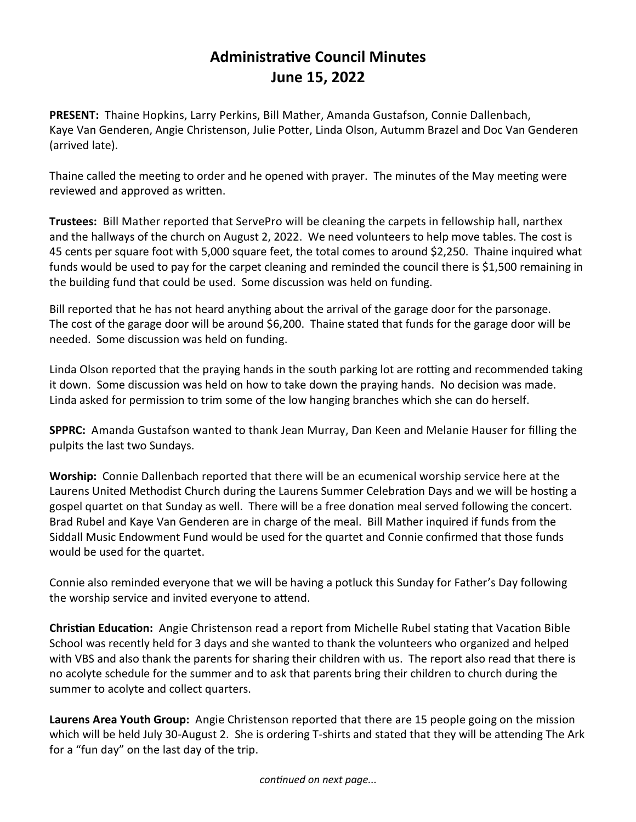## **Administrative Council Minutes June 15, 2022**

**PRESENT:** Thaine Hopkins, Larry Perkins, Bill Mather, Amanda Gustafson, Connie Dallenbach, Kaye Van Genderen, Angie Christenson, Julie Potter, Linda Olson, Autumm Brazel and Doc Van Genderen (arrived late).

Thaine called the meeting to order and he opened with prayer. The minutes of the May meeting were reviewed and approved as written.

**Trustees:** Bill Mather reported that ServePro will be cleaning the carpets in fellowship hall, narthex and the hallways of the church on August 2, 2022. We need volunteers to help move tables. The cost is 45 cents per square foot with 5,000 square feet, the total comes to around \$2,250. Thaine inquired what funds would be used to pay for the carpet cleaning and reminded the council there is \$1,500 remaining in the building fund that could be used. Some discussion was held on funding.

Bill reported that he has not heard anything about the arrival of the garage door for the parsonage. The cost of the garage door will be around \$6,200. Thaine stated that funds for the garage door will be needed. Some discussion was held on funding.

Linda Olson reported that the praying hands in the south parking lot are rotting and recommended taking it down. Some discussion was held on how to take down the praying hands. No decision was made. Linda asked for permission to trim some of the low hanging branches which she can do herself.

**SPPRC:** Amanda Gustafson wanted to thank Jean Murray, Dan Keen and Melanie Hauser for filling the pulpits the last two Sundays.

**Worship:** Connie Dallenbach reported that there will be an ecumenical worship service here at the Laurens United Methodist Church during the Laurens Summer Celebration Days and we will be hosting a gospel quartet on that Sunday as well. There will be a free donation meal served following the concert. Brad Rubel and Kaye Van Genderen are in charge of the meal. Bill Mather inquired if funds from the Siddall Music Endowment Fund would be used for the quartet and Connie confirmed that those funds would be used for the quartet.

Connie also reminded everyone that we will be having a potluck this Sunday for Father's Day following the worship service and invited everyone to attend.

**Christian Education:** Angie Christenson read a report from Michelle Rubel stating that Vacation Bible School was recently held for 3 days and she wanted to thank the volunteers who organized and helped with VBS and also thank the parents for sharing their children with us. The report also read that there is no acolyte schedule for the summer and to ask that parents bring their children to church during the summer to acolyte and collect quarters.

**Laurens Area Youth Group:** Angie Christenson reported that there are 15 people going on the mission which will be held July 30-August 2. She is ordering T-shirts and stated that they will be attending The Ark for a "fun day" on the last day of the trip.

*continued on next page...*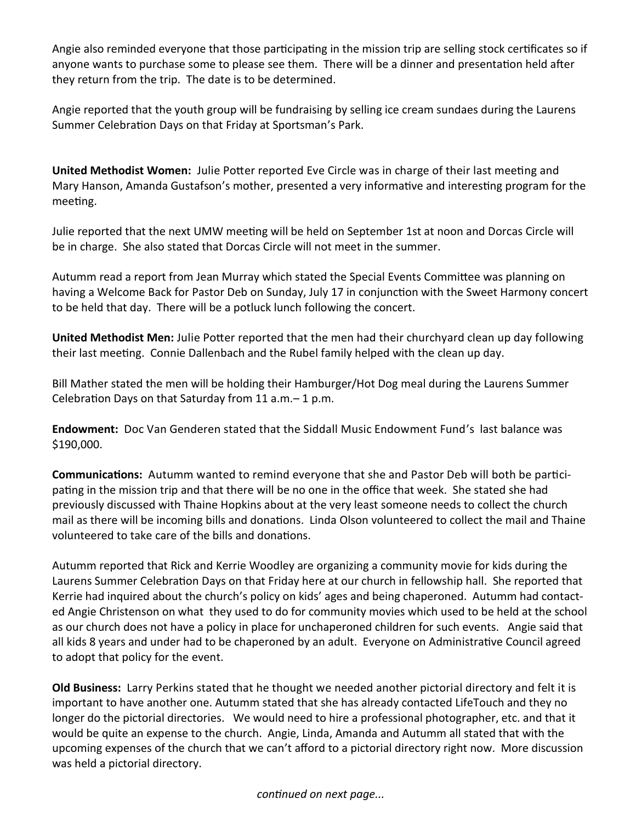Angie also reminded everyone that those participating in the mission trip are selling stock certificates so if anyone wants to purchase some to please see them. There will be a dinner and presentation held after they return from the trip. The date is to be determined.

Angie reported that the youth group will be fundraising by selling ice cream sundaes during the Laurens Summer Celebration Days on that Friday at Sportsman's Park.

**United Methodist Women:** Julie Potter reported Eve Circle was in charge of their last meeting and Mary Hanson, Amanda Gustafson's mother, presented a very informative and interesting program for the meeting.

Julie reported that the next UMW meeting will be held on September 1st at noon and Dorcas Circle will be in charge. She also stated that Dorcas Circle will not meet in the summer.

Autumm read a report from Jean Murray which stated the Special Events Committee was planning on having a Welcome Back for Pastor Deb on Sunday, July 17 in conjunction with the Sweet Harmony concert to be held that day. There will be a potluck lunch following the concert.

**United Methodist Men:** Julie Potter reported that the men had their churchyard clean up day following their last meeting. Connie Dallenbach and the Rubel family helped with the clean up day.

Bill Mather stated the men will be holding their Hamburger/Hot Dog meal during the Laurens Summer Celebration Days on that Saturday from 11 a.m.– 1 p.m.

**Endowment:** Doc Van Genderen stated that the Siddall Music Endowment Fund's last balance was \$190,000.

**Communications:** Autumm wanted to remind everyone that she and Pastor Deb will both be participating in the mission trip and that there will be no one in the office that week. She stated she had previously discussed with Thaine Hopkins about at the very least someone needs to collect the church mail as there will be incoming bills and donations. Linda Olson volunteered to collect the mail and Thaine volunteered to take care of the bills and donations.

Autumm reported that Rick and Kerrie Woodley are organizing a community movie for kids during the Laurens Summer Celebration Days on that Friday here at our church in fellowship hall. She reported that Kerrie had inquired about the church's policy on kids' ages and being chaperoned. Autumm had contacted Angie Christenson on what they used to do for community movies which used to be held at the school as our church does not have a policy in place for unchaperoned children for such events. Angie said that all kids 8 years and under had to be chaperoned by an adult. Everyone on Administrative Council agreed to adopt that policy for the event.

**Old Business:** Larry Perkins stated that he thought we needed another pictorial directory and felt it is important to have another one. Autumm stated that she has already contacted LifeTouch and they no longer do the pictorial directories. We would need to hire a professional photographer, etc. and that it would be quite an expense to the church. Angie, Linda, Amanda and Autumm all stated that with the upcoming expenses of the church that we can't afford to a pictorial directory right now. More discussion was held a pictorial directory.

*continued on next page...*